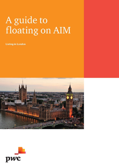# A guide to floating on AIM

**Listing in London** 



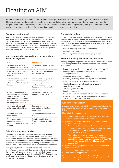# Floating on AIM

Since the launch of the market in 1995, AIM has emerged as one of the most successful growth markets in the world. It has developed rapidly both in terms of the number and diversity of companies admitted to the market, and the range of institutional and retail investors involved. Its success is built on a simplified regulatory environment which has been specifically designed for the needs of small and emerging companies.

# Regulatory environment

AIM companies are governed by the AIM Rules for Companies (AIM Rules) which set out the requirements and guidance for companies quoted or wishing to be quoted on AIM. The admission document requirements are based on the FCA's Prospectus Rules with certain (optional) exclusions. Admission documents relating to a public offer in the UK will need to follow the FCA's Prospectus Rules and require the approval of the FCA.

# Key differences between AIM and the Main Market (Premium segment)

| <b>AIM</b>                                                                                                                                                                 | <b>Main Market</b>                                                                                                                                            |
|----------------------------------------------------------------------------------------------------------------------------------------------------------------------------|---------------------------------------------------------------------------------------------------------------------------------------------------------------|
| No minimum number of<br>shares to be in public hands                                                                                                                       | Minimum 25% shares in public<br>hands                                                                                                                         |
| No trading record requirement<br>(minimum three years if<br>available)                                                                                                     | Normally three year trading<br>record required                                                                                                                |
| Prior shareholder approval<br>required only for reverse<br>takeovers and fundamental<br>disposals                                                                          | Prior shareholder approval<br>required for significant<br>transactions, including<br>significant acquisitions,<br>disposals and related party<br>transactions |
| Admission documents not<br>pre-vetted by the Exchange.<br>The FCA will yet an AIM<br>admission document where<br>it is also a Prospectus under<br>the Prospectus Directive | Prospectus pre-vetted and<br>approved by the UKLA                                                                                                             |
| Nominated adviser and<br>broker required at all times                                                                                                                      | Sponsors needed for new<br>applicants and significant<br>transactions                                                                                         |
| No minimum market<br>capitalisation                                                                                                                                        | Minimum market capitalisation<br>of £700,000                                                                                                                  |
| Compliance with a<br>recognised corporate<br>governance code or explain<br>why not                                                                                         | Compliance with UK Corporate<br>Governance Code or explain<br>why not.                                                                                        |

# Role of the nominated adviser

The initial role of the nominated adviser is to ensure that the company is appropriate to be quoted on AIM and to advise on, and to ensure that the AIM Rules for Companies are complied with on admission. The nominated adviser can be the same entity as the company's broker (who encourages trading of the shares in the market) – and so it is important to carefully consider their selection.

As required by the AIM Rules for Nominated Advisers, the nominated adviser must undertake extensive due diligence, advise the company of its primary or secondary market disclosure requirements, be available to advise and guide AIM Companies for which it acts at all times and liaise with the Exchange and the company's other advisers.

## The decision to float

Once you have taken the decision to float you will need to critically appraise your existing business and equity story, to understand its attractiveness to the market and identify the extent to which it will meet the AIM admission requirements. These requirements may be analysed into the following areas:

- General suitability and initial considerations
- Eligibility for admission
- Continuing obligations and reporting requirements

## General suitability and initial considerations

Planning and good preparation are crucial to a successful flotation. The following are the key suitability issues that you will need to consider:

- Preparation of a well constructed, attractive equity 'story'
- Establishing an experienced board of directors and management team
- Corporate governance implications
- Suitability of existing capital and organisation structure
- Appropriateness of the financial track record
- Quality of management information and financial reporting procedures
- Tax strategy and planning
- Legal housekeeping
- Board remuneration, management and employee incentives
- External communications and investor relations, including preparation of a company website

## Eligibility for admission

A company must meet the eligibility requirements as set out in the AIM Rules for Companies. The main requirements are set out below:

#### Main eligibility requirements

- Appointment and retention of a nominated adviser and broker\*
- Production of an admission document
- Preparation of financial information for inclusion in the
	- Three years of audited financial information (if available)
	- unaudited interim financial information with comparatives is required
	- At a minimum, the last two years of the financial information must be restated onto the basis to be applied in the issuers next annual accounts, being IFRS (or equivalent standards for non-EEA companies –
- Sufficient working capital for at least 12 months from the date of admission
- Adequate financial reporting procedures
- Profit forecast, if appropriate
- \* The nominated adviser and broker must be registered with the Exchange. See the London Stock Exchange website for a list of current approved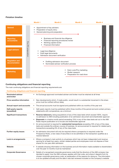# Flotation timeline



# Continuing obligations and financial reporting

The main continuing obligations and financial reporting requirements are:

#### Continuing obligations and financial reporting

| <b>Nominated adviser</b><br>and broker    | An Exchange approved nominated adviser and broker must be retained at all times                                                                                                                                                                                                                                                                                                                                                                                                                                                                                                                                                             |
|-------------------------------------------|---------------------------------------------------------------------------------------------------------------------------------------------------------------------------------------------------------------------------------------------------------------------------------------------------------------------------------------------------------------------------------------------------------------------------------------------------------------------------------------------------------------------------------------------------------------------------------------------------------------------------------------------|
| <b>Price sensitive information</b>        | New developments which, if made public, would result in a substantial movement in the share<br>price must be notified without delay                                                                                                                                                                                                                                                                                                                                                                                                                                                                                                         |
| <b>Annual report and accounts</b>         | The annual accounts must be signed and published within six months of the year end                                                                                                                                                                                                                                                                                                                                                                                                                                                                                                                                                          |
| <b>Half-yearly reports</b><br>(unaudited) | Half-yearly reports must be published within three months of the period end and contain primary<br>statements with comparatives, as a minimum                                                                                                                                                                                                                                                                                                                                                                                                                                                                                               |
| <b>Significant transactions</b>           | <b>Reverse takeovers,</b> being acquisitions of any of the class tests which exceed 100%, require<br>re-admission to AIM including publication of an admission document and shareholder approval<br>Disposals in a twelve month period exceeding 75% in any of the class tests set out in the AIM<br>Rules require publication of a circular and shareholder approval<br>An announcement is required for substantial transactions exceeding 10% of any of the class<br>$\bullet$<br>tests and outside the ordinary course of business. An announcement is required for related party<br>transactions exceeding 5% of any of the class tests |
| <b>Further equity issues</b>              | An admission document will only be required where a prospectus is required under the<br>Prospectus Rules, a new class of securities is to be admitted or the transaction qualifies as a<br>reverse takeover                                                                                                                                                                                                                                                                                                                                                                                                                                 |
| Lock-in arrangements                      | Where a company's main activity is a business which has not been independent and revenue<br>earning for at least two years, certain related parties and employees must not dispose of their<br>shares for one year after admission                                                                                                                                                                                                                                                                                                                                                                                                          |
| Website                                   | A website showing information on the business and all information made available to shareholders<br>$\bullet$<br>over the past 12 months must be maintained                                                                                                                                                                                                                                                                                                                                                                                                                                                                                 |
| <b>Corporate Governance</b>               | Details of a recognised corporate governance code that the directors of the AIM company has<br>$\bullet$<br>decided to apply, how the AIM company applies with that code, and where it departs from its<br>chosen corporate governance code, an explanation of the reasons for doing so. The information<br>is to be updated annually and the date it was last reviewed included on the company's website                                                                                                                                                                                                                                   |